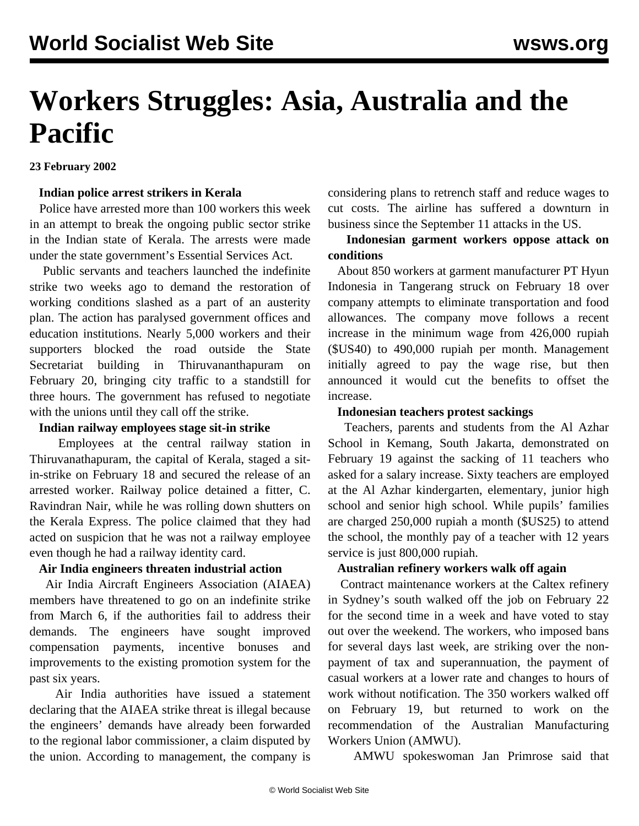# **Workers Struggles: Asia, Australia and the Pacific**

**23 February 2002**

#### **Indian police arrest strikers in Kerala**

 Police have arrested more than 100 workers this week in an attempt to break the ongoing public sector strike in the Indian state of Kerala. The arrests were made under the state government's Essential Services Act.

 Public servants and teachers launched the indefinite strike two weeks ago to demand the restoration of working conditions slashed as a part of an austerity plan. The action has paralysed government offices and education institutions. Nearly 5,000 workers and their supporters blocked the road outside the State Secretariat building in Thiruvananthapuram on February 20, bringing city traffic to a standstill for three hours. The government has refused to negotiate with the unions until they call off the strike.

#### **Indian railway employees stage sit-in strike**

 Employees at the central railway station in Thiruvanathapuram, the capital of Kerala, staged a sitin-strike on February 18 and secured the release of an arrested worker. Railway police detained a fitter, C. Ravindran Nair, while he was rolling down shutters on the Kerala Express. The police claimed that they had acted on suspicion that he was not a railway employee even though he had a railway identity card.

#### **Air India engineers threaten industrial action**

 Air India Aircraft Engineers Association (AIAEA) members have threatened to go on an indefinite strike from March 6, if the authorities fail to address their demands. The engineers have sought improved compensation payments, incentive bonuses and improvements to the existing promotion system for the past six years.

 Air India authorities have issued a statement declaring that the AIAEA strike threat is illegal because the engineers' demands have already been forwarded to the regional labor commissioner, a claim disputed by the union. According to management, the company is

considering plans to retrench staff and reduce wages to cut costs. The airline has suffered a downturn in business since the September 11 attacks in the US.

## **Indonesian garment workers oppose attack on conditions**

 About 850 workers at garment manufacturer PT Hyun Indonesia in Tangerang struck on February 18 over company attempts to eliminate transportation and food allowances. The company move follows a recent increase in the minimum wage from 426,000 rupiah (\$US40) to 490,000 rupiah per month. Management initially agreed to pay the wage rise, but then announced it would cut the benefits to offset the increase.

#### **Indonesian teachers protest sackings**

 Teachers, parents and students from the Al Azhar School in Kemang, South Jakarta, demonstrated on February 19 against the sacking of 11 teachers who asked for a salary increase. Sixty teachers are employed at the Al Azhar kindergarten, elementary, junior high school and senior high school. While pupils' families are charged 250,000 rupiah a month (\$US25) to attend the school, the monthly pay of a teacher with 12 years service is just 800,000 rupiah.

#### **Australian refinery workers walk off again**

 Contract maintenance workers at the Caltex refinery in Sydney's south walked off the job on February 22 for the second time in a week and have voted to stay out over the weekend. The workers, who imposed bans for several days last week, are striking over the nonpayment of tax and superannuation, the payment of casual workers at a lower rate and changes to hours of work without notification. The 350 workers walked off on February 19, but returned to work on the recommendation of the Australian Manufacturing Workers Union (AMWU).

AMWU spokeswoman Jan Primrose said that